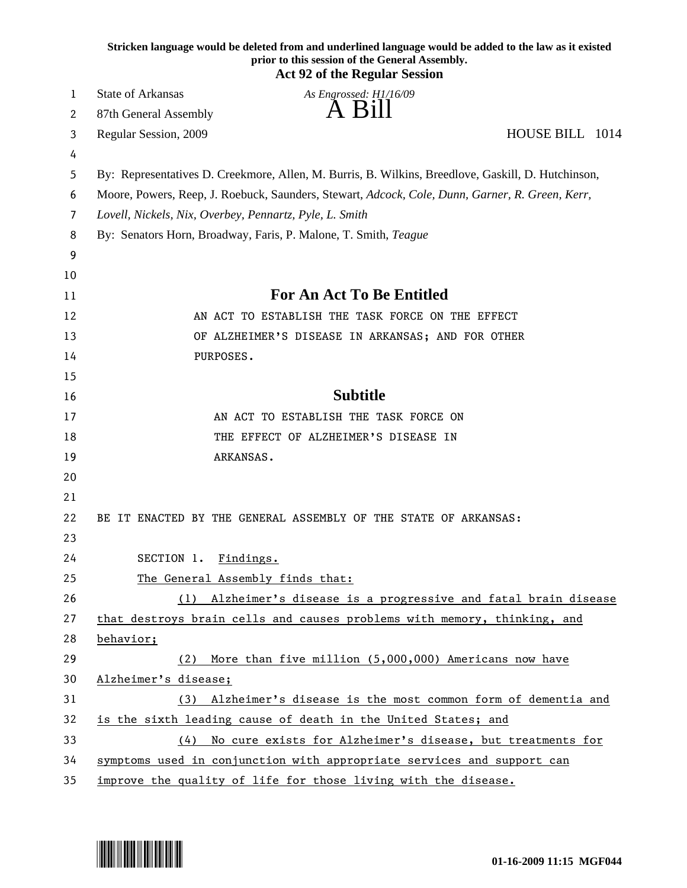|    | Stricken language would be deleted from and underlined language would be added to the law as it existed<br>prior to this session of the General Assembly.<br><b>Act 92 of the Regular Session</b> |
|----|---------------------------------------------------------------------------------------------------------------------------------------------------------------------------------------------------|
| 1  | <b>State of Arkansas</b><br>As Engrossed: H1/16/09                                                                                                                                                |
| 2  | A Bill<br>87th General Assembly                                                                                                                                                                   |
| 3  | HOUSE BILL 1014<br>Regular Session, 2009                                                                                                                                                          |
| 4  |                                                                                                                                                                                                   |
| 5  | By: Representatives D. Creekmore, Allen, M. Burris, B. Wilkins, Breedlove, Gaskill, D. Hutchinson,                                                                                                |
| 6  | Moore, Powers, Reep, J. Roebuck, Saunders, Stewart, Adcock, Cole, Dunn, Garner, R. Green, Kerr,                                                                                                   |
| 7  | Lovell, Nickels, Nix, Overbey, Pennartz, Pyle, L. Smith                                                                                                                                           |
| 8  | By: Senators Horn, Broadway, Faris, P. Malone, T. Smith, Teague                                                                                                                                   |
| 9  |                                                                                                                                                                                                   |
| 10 |                                                                                                                                                                                                   |
| 11 | <b>For An Act To Be Entitled</b>                                                                                                                                                                  |
| 12 | AN ACT TO ESTABLISH THE TASK FORCE ON THE EFFECT                                                                                                                                                  |
| 13 | OF ALZHEIMER'S DISEASE IN ARKANSAS; AND FOR OTHER                                                                                                                                                 |
| 14 | PURPOSES.                                                                                                                                                                                         |
| 15 |                                                                                                                                                                                                   |
| 16 | <b>Subtitle</b>                                                                                                                                                                                   |
| 17 | AN ACT TO ESTABLISH THE TASK FORCE ON                                                                                                                                                             |
| 18 | THE EFFECT OF ALZHEIMER'S DISEASE IN                                                                                                                                                              |
| 19 | ARKANSAS.                                                                                                                                                                                         |
| 20 |                                                                                                                                                                                                   |
| 21 |                                                                                                                                                                                                   |
| 22 | BE IT ENACTED BY THE GENERAL ASSEMBLY OF THE STATE OF ARKANSAS:                                                                                                                                   |
| 23 |                                                                                                                                                                                                   |
| 24 | SECTION 1.<br>Findings.                                                                                                                                                                           |
| 25 | The General Assembly finds that:                                                                                                                                                                  |
| 26 | (1) Alzheimer's disease is a progressive and fatal brain disease                                                                                                                                  |
| 27 | that destroys brain cells and causes problems with memory, thinking, and                                                                                                                          |
| 28 | behavior;                                                                                                                                                                                         |
| 29 | More than five million (5,000,000) Americans now have<br>(2)                                                                                                                                      |
| 30 | Alzheimer's disease;                                                                                                                                                                              |
| 31 | (3) Alzheimer's disease is the most common form of dementia and                                                                                                                                   |
| 32 | is the sixth leading cause of death in the United States; and                                                                                                                                     |
| 33 | No cure exists for Alzheimer's disease, but treatments for<br>(4)                                                                                                                                 |
| 34 | symptoms used in conjunction with appropriate services and support can                                                                                                                            |
| 35 | improve the quality of life for those living with the disease.                                                                                                                                    |

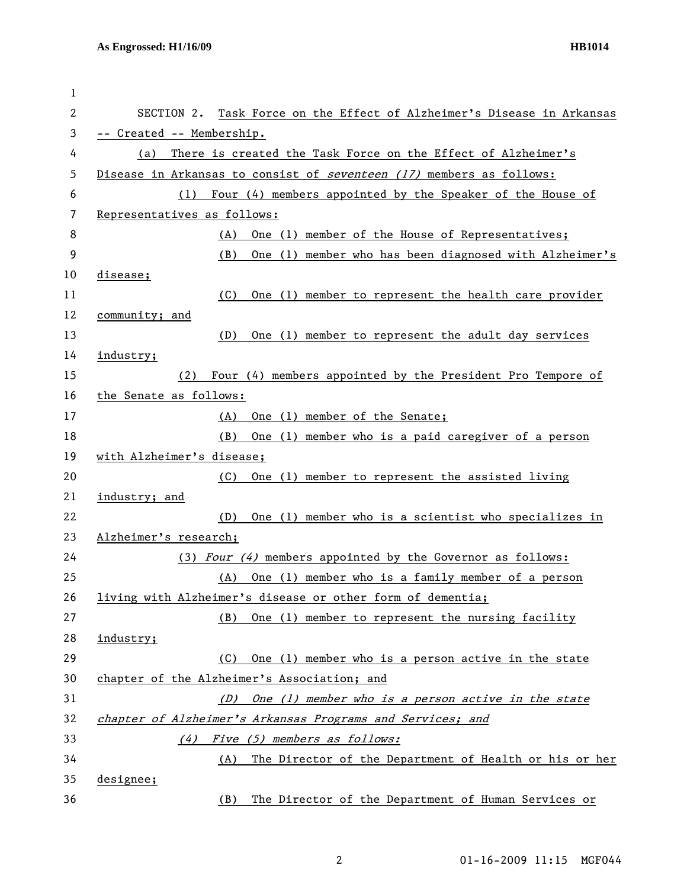| 1  |                                                                        |
|----|------------------------------------------------------------------------|
| 2  | SECTION 2. Task Force on the Effect of Alzheimer's Disease in Arkansas |
| 3  | -- Created -- Membership.                                              |
| 4  | There is created the Task Force on the Effect of Alzheimer's<br>(a)    |
| 5  | Disease in Arkansas to consist of seventeen (17) members as follows:   |
| 6  | Four (4) members appointed by the Speaker of the House of<br>(1)       |
| 7  | Representatives as follows:                                            |
| 8  | One (1) member of the House of Representatives;<br>(A)                 |
| 9  | One (1) member who has been diagnosed with Alzheimer's<br>(B)          |
| 10 | disease;                                                               |
| 11 | One (1) member to represent the health care provider<br>(C)            |
| 12 | community; and                                                         |
| 13 | (D)<br>One (1) member to represent the adult day services              |
| 14 | industry;                                                              |
| 15 | Four (4) members appointed by the President Pro Tempore of<br>(2)      |
| 16 | the Senate as follows:                                                 |
| 17 | (A) One (1) member of the Senate;                                      |
| 18 | (B)<br>One (1) member who is a paid caregiver of a person              |
| 19 | with Alzheimer's disease;                                              |
| 20 | (C)<br>One (1) member to represent the assisted living                 |
| 21 | industry; and                                                          |
| 22 | One (1) member who is a scientist who specializes in<br>(D)            |
| 23 | Alzheimer's research;                                                  |
| 24 | (3) Four $(4)$ members appointed by the Governor as follows:           |
| 25 | (A)<br>One (1) member who is a family member of a person               |
| 26 | living with Alzheimer's disease or other form of dementia;             |
| 27 | One (1) member to represent the nursing facility<br>(B)                |
| 28 | industry;                                                              |
| 29 | One (1) member who is a person active in the state<br>(C)              |
| 30 | chapter of the Alzheimer's Association; and                            |
| 31 | One (1) member who is a person active in the state<br>(D)              |
| 32 | chapter of Alzheimer's Arkansas Programs and Services; and             |
| 33 | Five (5) members as follows:<br>(4)                                    |
| 34 | The Director of the Department of Health or his or her<br>(A)          |
| 35 | designee;                                                              |
| 36 | The Director of the Department of Human Services or<br>(B)             |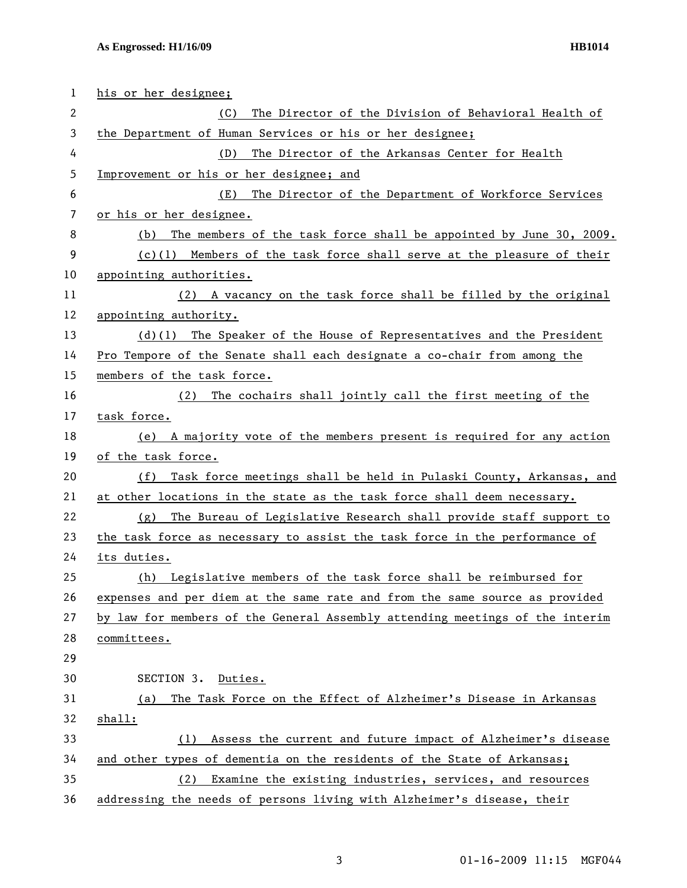| 1              | his or her designee;                                                         |
|----------------|------------------------------------------------------------------------------|
| 2              | The Director of the Division of Behavioral Health of<br>(C)                  |
| 3              | the Department of Human Services or his or her designee;                     |
| 4              | The Director of the Arkansas Center for Health<br>(D)                        |
| 5              | Improvement or his or her designee; and                                      |
| 6              | The Director of the Department of Workforce Services<br>(E)                  |
| $\overline{7}$ | or his or her designee.                                                      |
| 8              | The members of the task force shall be appointed by June 30, 2009.<br>(b)    |
| 9              | $(c)(1)$ Members of the task force shall serve at the pleasure of their      |
| 10             | appointing authorities.                                                      |
| 11             | (2) A vacancy on the task force shall be filled by the original              |
| 12             | appointing authority.                                                        |
| 13             | $(d)(1)$ The Speaker of the House of Representatives and the President       |
| 14             | Pro Tempore of the Senate shall each designate a co-chair from among the     |
| 15             | members of the task force.                                                   |
| 16             | (2) The cochairs shall jointly call the first meeting of the                 |
| 17             | task force.                                                                  |
| 18             | (e) A majority vote of the members present is required for any action        |
| 19             | of the task force.                                                           |
| 20             | Task force meetings shall be held in Pulaski County, Arkansas, and<br>(f)    |
| 21             | at other locations in the state as the task force shall deem necessary.      |
| 22             | The Bureau of Legislative Research shall provide staff support to<br>(g)     |
| 23             | the task force as necessary to assist the task force in the performance of   |
| 24             | its duties.                                                                  |
| 25             | (h) Legislative members of the task force shall be reimbursed for            |
| 26             | expenses and per diem at the same rate and from the same source as provided  |
| 27             | by law for members of the General Assembly attending meetings of the interim |
| 28             | committees.                                                                  |
| 29             |                                                                              |
| 30             | SECTION 3.<br>Duties.                                                        |
| 31             | The Task Force on the Effect of Alzheimer's Disease in Arkansas<br>(a)       |
| 32             | shall:                                                                       |
| 33             | Assess the current and future impact of Alzheimer's disease<br>(1)           |
| 34             | and other types of dementia on the residents of the State of Arkansas;       |
| 35             | Examine the existing industries, services, and resources<br>(2)              |
| 36             | addressing the needs of persons living with Alzheimer's disease, their       |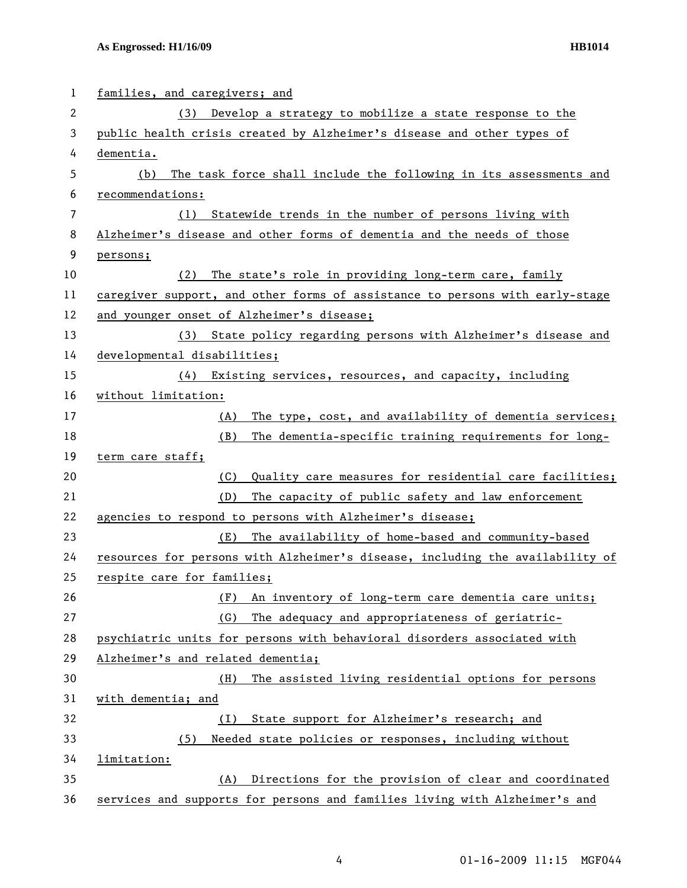| 1              | families, and caregivers; and                                                 |
|----------------|-------------------------------------------------------------------------------|
| 2              | (3) Develop a strategy to mobilize a state response to the                    |
| 3              | public health crisis created by Alzheimer's disease and other types of        |
| 4              | dementia.                                                                     |
| 5              | The task force shall include the following in its assessments and<br>(b)      |
| 6              | recommendations:                                                              |
| $\overline{7}$ | (1) Statewide trends in the number of persons living with                     |
| 8              | Alzheimer's disease and other forms of dementia and the needs of those        |
| 9              | persons;                                                                      |
| 10             | The state's role in providing long-term care, family<br>(2)                   |
| 11             | caregiver support, and other forms of assistance to persons with early-stage  |
| 12             | and younger onset of Alzheimer's disease;                                     |
| 13             | (3) State policy regarding persons with Alzheimer's disease and               |
| 14             | developmental disabilities;                                                   |
| 15             | (4) Existing services, resources, and capacity, including                     |
| 16             | without limitation:                                                           |
| 17             | The type, cost, and availability of dementia services;<br>(A)                 |
| 18             | (B)<br>The dementia-specific training requirements for long-                  |
| 19             | term care staff;                                                              |
| 20             | (C)<br>Quality care measures for residential care facilities;                 |
| 21             | (D)<br>The capacity of public safety and law enforcement                      |
| 22             | agencies to respond to persons with Alzheimer's disease;                      |
| 23             | The availability of home-based and community-based<br>(E)                     |
| 24             | resources for persons with Alzheimer's disease, including the availability of |
| 25             | respite care for families;                                                    |
| 26             | An inventory of long-term care dementia care units;<br>(F)                    |
| 27             | (G)<br>The adequacy and appropriateness of geriatric-                         |
| 28             | psychiatric units for persons with behavioral disorders associated with       |
| 29             | Alzheimer's and related dementia;                                             |
| 30             | (H)<br>The assisted living residential options for persons                    |
| 31             | with dementia; and                                                            |
| 32             | State support for Alzheimer's research; and<br>(1)                            |
| 33             | Needed state policies or responses, including without<br>(5)                  |
| 34             | limitation:                                                                   |
| 35             | Directions for the provision of clear and coordinated<br>(A)                  |
| 36             | services and supports for persons and families living with Alzheimer's and    |